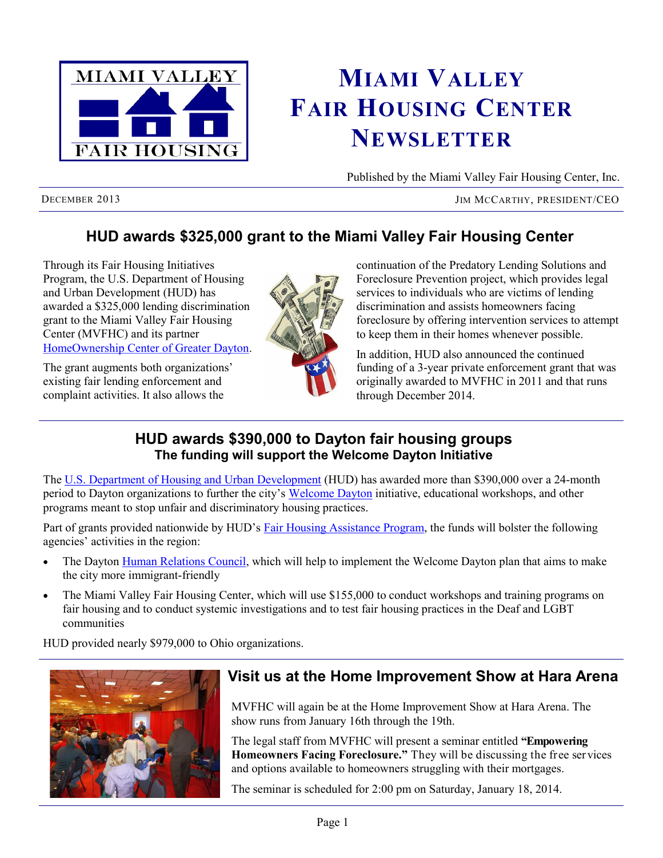

# **MIAMI VALLEY FAIR HOUSING CENTER NEWSLETTER**

Published by the Miami Valley Fair Housing Center, Inc.

DECEMBER 2013 JIM MCCARTHY, PRESIDENT/CEO

# **HUD awards \$325,000 grant to the Miami Valley Fair Housing Center**

Through its [Fair Housing Initiatives](http://portal.hud.gov/hudportal/HUD?src=/program_offices/fair_housing_equal_opp/partners/FHIP/fhip)  [Program,](http://portal.hud.gov/hudportal/HUD?src=/program_offices/fair_housing_equal_opp/partners/FHIP/fhip) the U.S. Department of Housing and Urban Development (HUD) has awarded a \$325,000 lending discrimination grant to the Miami Valley Fair Housing Center (MVFHC) and its partner [HomeOwnership Center of Greater Dayton.](http://www.homeownershipdayton.org/)

The grant augments both organizations' existing fair lending enforcement and complaint activities. It also allows the



continuation of the Predatory Lending Solutions and Foreclosure Prevention project, which provides legal services to individuals who are victims of lending discrimination and assists homeowners facing foreclosure by offering intervention services to attempt to keep them in their homes whenever possible.

In addition, HUD also announced the continued funding of a 3-year private enforcement grant that was originally awarded to MVFHC in 2011 and that runs through December 2014.

## **HUD awards \$390,000 to Dayton fair housing groups The funding will support the Welcome Dayton Initiative**

The [U.S. Department of Housing and Urban Development](http://www.hud.gov/) (HUD) has awarded more than \$390,000 over a 24-month period to Dayton organizations to further the city's [Welcome Dayton](http://www.welcomedayton.org/) initiative, educational workshops, and other programs meant to stop unfair and discriminatory housing practices.

Part of grants provided nationwide by HUD's [Fair Housing Assistance Program,](http://portal.hud.gov/hudportal/HUD?src=/program_offices/fair_housing_equal_opp/partners/FHAP) the funds will bolster the following agencies' activities in the region:

- The Dayton [Human Relations Council,](http://www.cityofdayton.org/DEPARTMENTS/HRC/Pages/default.aspx) which will help to implement the Welcome Dayton plan that aims to make the city more immigrant-friendly
- The Miami Valley Fair Housing Center, which will use \$155,000 to conduct workshops and training programs on fair housing and to conduct systemic investigations and to test fair housing practices in the Deaf and LGBT communities

HUD provided nearly \$979,000 to Ohio organizations.



## **Visit us at the Home Improvement Show at Hara Arena**

MVFHC will again be at the Home Improvement Show at Hara Arena. The show runs from January 16th through the 19th.

The legal staff from MVFHC will present a seminar entitled **"Empowering Homeowners Facing Foreclosure."** They will be discussing the free services and options available to homeowners struggling with their mortgages.

The seminar is scheduled for 2:00 pm on Saturday, January 18, 2014.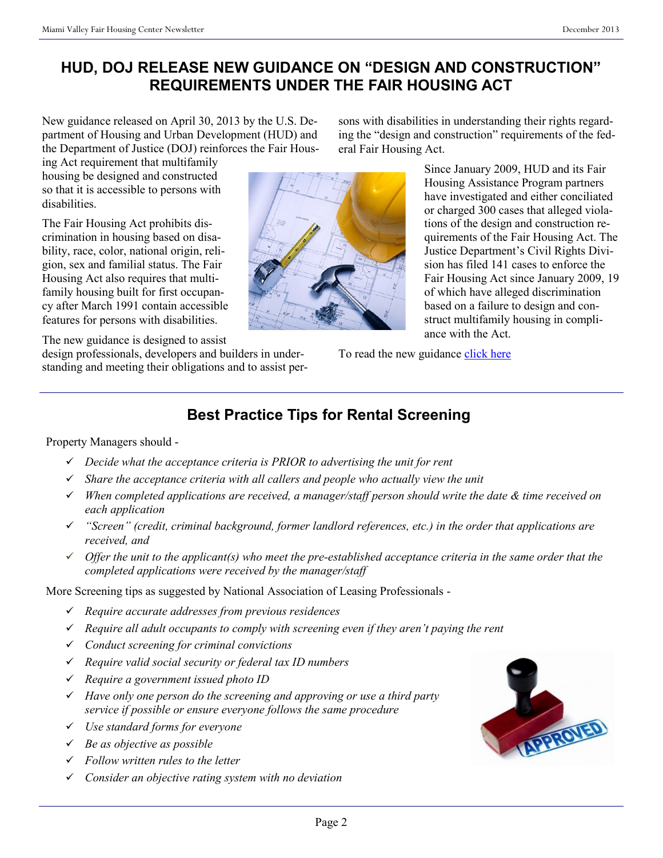# **HUD, DOJ RELEASE NEW GUIDANCE ON "DESIGN AND CONSTRUCTION" REQUIREMENTS UNDER THE FAIR HOUSING ACT**

New guidance released on April 30, 2013 by the U.S. Department of Housing and Urban Development (HUD) and the Department of Justice (DOJ) reinforces the Fair Hous-

ing Act requirement that multifamily housing be designed and constructed so that it is accessible to persons with disabilities.

The Fair Housing Act prohibits discrimination in housing based on disability, race, color, national origin, religion, sex and familial status. The Fair Housing Act also requires that multifamily housing built for first occupancy after March 1991 contain accessible features for persons with disabilities.

The new guidance is designed to assist

design professionals, developers and builders in understanding and meeting their obligations and to assist persons with disabilities in understanding their rights regarding the "design and construction" requirements of the federal Fair Housing Act.

> Since January 2009, HUD and its Fair Housing Assistance Program partners have investigated and either conciliated or charged 300 cases that alleged violations of the design and construction requirements of the Fair Housing Act. The Justice Department's Civil Rights Division has filed 141 cases to enforce the Fair Housing Act since January 2009, 19 of which have alleged discrimination based on a failure to design and construct multifamily housing in compliance with the Act.

To read the new guidance [click here](http://portal.hud.gov/hudportal/documents/huddoc?id=JOINTSTATEMENT.PDF)

# **Best Practice Tips for Rental Screening**

#### Property Managers should -

- *Decide what the acceptance criteria is PRIOR to advertising the unit for rent*
- *Share the acceptance criteria with all callers and people who actually view the unit*
- *When completed applications are received, a manager/staff person should write the date & time received on each application*
- *"Screen" (credit, criminal background, former landlord references, etc.) in the order that applications are received, and*
- *Offer the unit to the applicant(s) who meet the pre-established acceptance criteria in the same order that the completed applications were received by the manager/staff*

More Screening tips as suggested by National Association of Leasing Professionals -

- *Require accurate addresses from previous residences*
- *Require all adult occupants to comply with screening even if they aren't paying the rent*
- *Conduct screening for criminal convictions*
- *Require valid social security or federal tax ID numbers*
- *Require a government issued photo ID*
- *Have only one person do the screening and approving or use a third party service if possible or ensure everyone follows the same procedure*
- *Use standard forms for everyone*
- *Be as objective as possible*
- *Follow written rules to the letter*
- *Consider an objective rating system with no deviation*